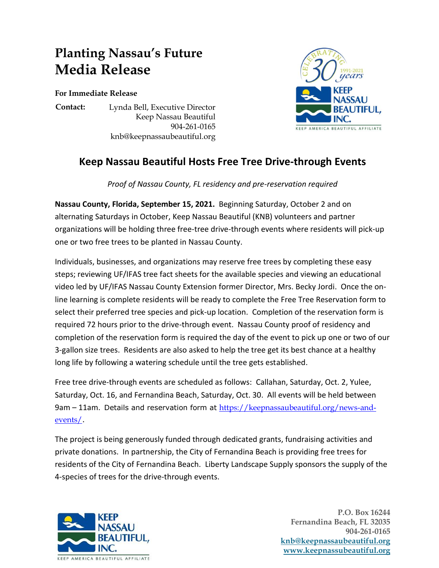## **Planting Nassau's Future Media Release**

**For Immediate Release**

**Contact:** Lynda Bell, Executive Director Keep Nassau Beautiful 904-261-0165 knb@keepnassaubeautiful.org



## **Keep Nassau Beautiful Hosts Free Tree Drive-through Events**

*Proof of Nassau County, FL residency and pre-reservation required*

**Nassau County, Florida, September 15, 2021.** Beginning Saturday, October 2 and on alternating Saturdays in October, Keep Nassau Beautiful (KNB) volunteers and partner organizations will be holding three free-tree drive-through events where residents will pick-up one or two free trees to be planted in Nassau County.

Individuals, businesses, and organizations may reserve free trees by completing these easy steps; reviewing UF/IFAS tree fact sheets for the available species and viewing an educational video led by UF/IFAS Nassau County Extension former Director, Mrs. Becky Jordi. Once the online learning is complete residents will be ready to complete the Free Tree Reservation form to select their preferred tree species and pick-up location. Completion of the reservation form is required 72 hours prior to the drive-through event. Nassau County proof of residency and completion of the reservation form is required the day of the event to pick up one or two of our 3-gallon size trees. Residents are also asked to help the tree get its best chance at a healthy long life by following a watering schedule until the tree gets established.

Free tree drive-through events are scheduled as follows: Callahan, Saturday, Oct. 2, Yulee, Saturday, Oct. 16, and Fernandina Beach, Saturday, Oct. 30. All events will be held between 9am – 11am. Details and reservation form at [https://keepnassaubeautiful.org/news-and](https://keepnassaubeautiful.org/news-and-events/)[events/](https://keepnassaubeautiful.org/news-and-events/).

The project is being generously funded through dedicated grants, fundraising activities and private donations. In partnership, the City of Fernandina Beach is providing free trees for residents of the City of Fernandina Beach. Liberty Landscape Supply sponsors the supply of the 4-species of trees for the drive-through events.



 **P.O. Box 16244 Fernandina Beach, FL 32035 904-261-0165 [knb@keepnassaubeautiful.org](mailto:knb@keepnassaubeautiful.org) [www.keepnassubeautiful.org](http://www.keepnassubeautiful.org/)**